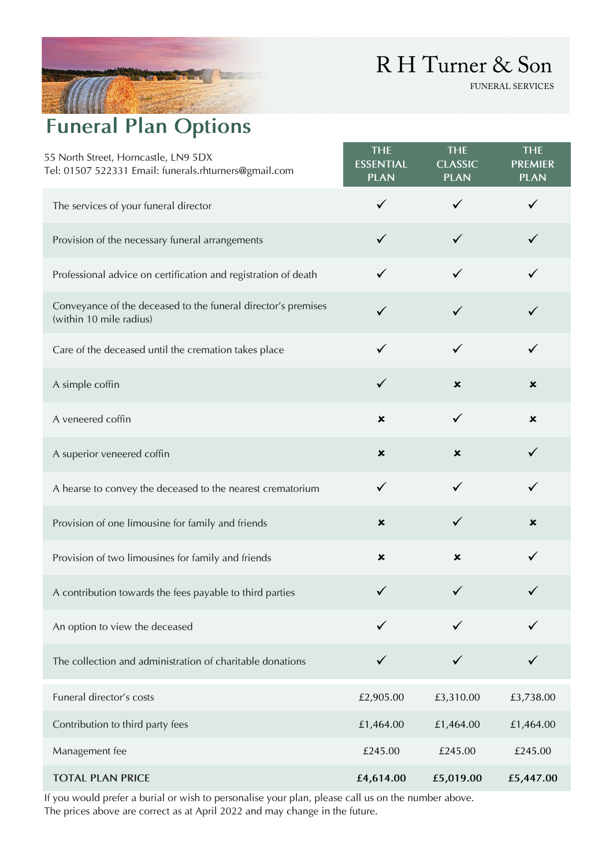## R H Turner & Son

FUNERAL SERVICES

## **Funeral Plan Options**

| 55 North Street, Horncastle, LN9 5DX<br>Tel: 01507 522331 Email: funerals.rhturners@gmail.com | <b>THE</b><br><b>ESSENTIAL</b><br><b>PLAN</b> | <b>THE</b><br><b>CLASSIC</b><br><b>PLAN</b> | <b>THE</b><br><b>PREMIER</b><br><b>PLAN</b> |
|-----------------------------------------------------------------------------------------------|-----------------------------------------------|---------------------------------------------|---------------------------------------------|
| The services of your funeral director                                                         | $\checkmark$                                  | $\checkmark$                                | ✓                                           |
| Provision of the necessary funeral arrangements                                               | ✓                                             | $\checkmark$                                |                                             |
| Professional advice on certification and registration of death                                | ✓                                             | $\checkmark$                                |                                             |
| Conveyance of the deceased to the funeral director's premises<br>(within 10 mile radius)      | ✓                                             | ✓                                           |                                             |
| Care of the deceased until the cremation takes place                                          | ✓                                             | $\checkmark$                                | $\checkmark$                                |
| A simple coffin                                                                               | $\checkmark$                                  | $\boldsymbol{\mathsf{x}}$                   | $\boldsymbol{\mathsf{x}}$                   |
| A veneered coffin                                                                             | $\pmb{\times}$                                | ✓                                           | $\pmb{\times}$                              |
| A superior veneered coffin                                                                    | $\boldsymbol{\mathsf{x}}$                     | $\boldsymbol{\mathsf{x}}$                   | $\checkmark$                                |
| A hearse to convey the deceased to the nearest crematorium                                    | $\checkmark$                                  | $\checkmark$                                | $\checkmark$                                |
| Provision of one limousine for family and friends                                             | $\boldsymbol{\mathsf{x}}$                     | $\checkmark$                                | $\boldsymbol{\mathsf{x}}$                   |
| Provision of two limousines for family and friends                                            | $\boldsymbol{\mathsf{x}}$                     | $\boldsymbol{\mathsf{x}}$                   | $\checkmark$                                |
| A contribution towards the fees payable to third parties                                      |                                               |                                             |                                             |
| An option to view the deceased                                                                |                                               |                                             |                                             |
| The collection and administration of charitable donations                                     |                                               |                                             |                                             |
| Funeral director's costs                                                                      | £2,905.00                                     | £3,310.00                                   | £3,738.00                                   |
| Contribution to third party fees                                                              | £1,464.00                                     | £1,464.00                                   | £1,464.00                                   |
| Management fee                                                                                | £245.00                                       | £245.00                                     | £245.00                                     |
| <b>TOTAL PLAN PRICE</b>                                                                       | £4,614.00                                     | £5,019.00                                   | £5,447.00                                   |

If you would prefer a burial or wish to personalise your plan, please call us on the number above. The prices above are correct as at April 2022 and may change in the future.